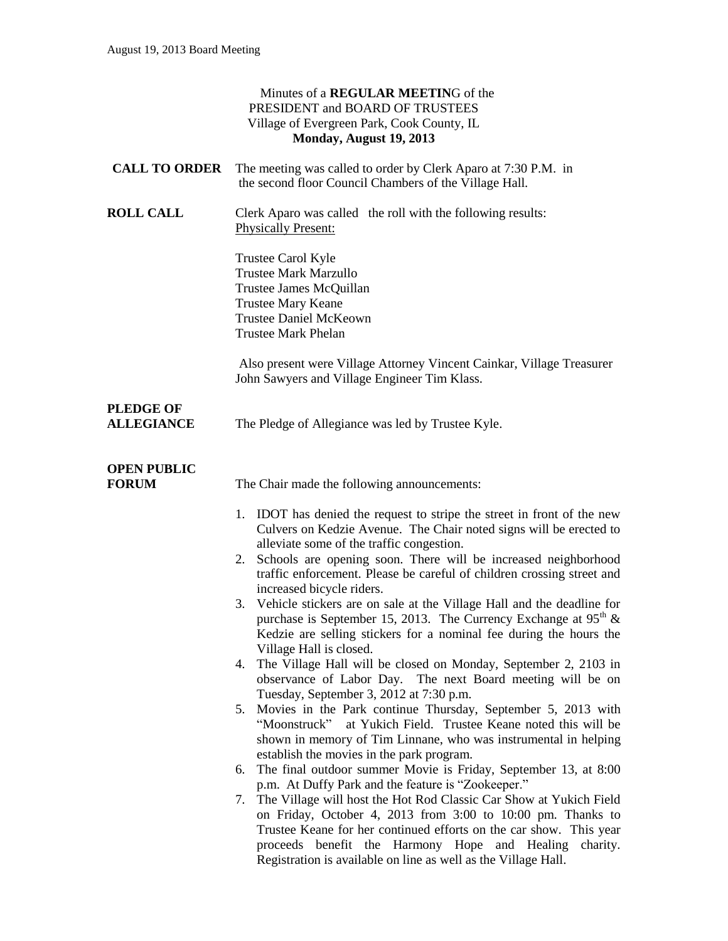|                                       | Minutes of a REGULAR MEETING of the<br>PRESIDENT and BOARD OF TRUSTEES<br>Village of Evergreen Park, Cook County, IL<br>Monday, August 19, 2013                                                                                                                                                                                                                                                                                                                                                                                                                                                                                                                                                                                                                                                                                                                                                                                                                                                                                                                                                                                                                                                                                                                                                                                                                                                                                                                                                                                                         |
|---------------------------------------|---------------------------------------------------------------------------------------------------------------------------------------------------------------------------------------------------------------------------------------------------------------------------------------------------------------------------------------------------------------------------------------------------------------------------------------------------------------------------------------------------------------------------------------------------------------------------------------------------------------------------------------------------------------------------------------------------------------------------------------------------------------------------------------------------------------------------------------------------------------------------------------------------------------------------------------------------------------------------------------------------------------------------------------------------------------------------------------------------------------------------------------------------------------------------------------------------------------------------------------------------------------------------------------------------------------------------------------------------------------------------------------------------------------------------------------------------------------------------------------------------------------------------------------------------------|
| <b>CALL TO ORDER</b>                  | The meeting was called to order by Clerk Aparo at 7:30 P.M. in<br>the second floor Council Chambers of the Village Hall.                                                                                                                                                                                                                                                                                                                                                                                                                                                                                                                                                                                                                                                                                                                                                                                                                                                                                                                                                                                                                                                                                                                                                                                                                                                                                                                                                                                                                                |
| <b>ROLL CALL</b>                      | Clerk Aparo was called the roll with the following results:<br><b>Physically Present:</b>                                                                                                                                                                                                                                                                                                                                                                                                                                                                                                                                                                                                                                                                                                                                                                                                                                                                                                                                                                                                                                                                                                                                                                                                                                                                                                                                                                                                                                                               |
|                                       | Trustee Carol Kyle<br><b>Trustee Mark Marzullo</b><br>Trustee James McQuillan<br><b>Trustee Mary Keane</b><br><b>Trustee Daniel McKeown</b><br><b>Trustee Mark Phelan</b>                                                                                                                                                                                                                                                                                                                                                                                                                                                                                                                                                                                                                                                                                                                                                                                                                                                                                                                                                                                                                                                                                                                                                                                                                                                                                                                                                                               |
|                                       | Also present were Village Attorney Vincent Cainkar, Village Treasurer<br>John Sawyers and Village Engineer Tim Klass.                                                                                                                                                                                                                                                                                                                                                                                                                                                                                                                                                                                                                                                                                                                                                                                                                                                                                                                                                                                                                                                                                                                                                                                                                                                                                                                                                                                                                                   |
| <b>PLEDGE OF</b><br><b>ALLEGIANCE</b> | The Pledge of Allegiance was led by Trustee Kyle.                                                                                                                                                                                                                                                                                                                                                                                                                                                                                                                                                                                                                                                                                                                                                                                                                                                                                                                                                                                                                                                                                                                                                                                                                                                                                                                                                                                                                                                                                                       |
| <b>OPEN PUBLIC</b><br><b>FORUM</b>    | The Chair made the following announcements:                                                                                                                                                                                                                                                                                                                                                                                                                                                                                                                                                                                                                                                                                                                                                                                                                                                                                                                                                                                                                                                                                                                                                                                                                                                                                                                                                                                                                                                                                                             |
|                                       | 1. IDOT has denied the request to stripe the street in front of the new<br>Culvers on Kedzie Avenue. The Chair noted signs will be erected to<br>alleviate some of the traffic congestion.<br>Schools are opening soon. There will be increased neighborhood<br>2.<br>traffic enforcement. Please be careful of children crossing street and<br>increased bicycle riders.<br>3. Vehicle stickers are on sale at the Village Hall and the deadline for<br>purchase is September 15, 2013. The Currency Exchange at $95^{\circ}$ &<br>Kedzie are selling stickers for a nominal fee during the hours the<br>Village Hall is closed.<br>The Village Hall will be closed on Monday, September 2, 2103 in<br>4.<br>observance of Labor Day. The next Board meeting will be on<br>Tuesday, September 3, 2012 at 7:30 p.m.<br>Movies in the Park continue Thursday, September 5, 2013 with<br>5.<br>"Moonstruck" at Yukich Field. Trustee Keane noted this will be<br>shown in memory of Tim Linnane, who was instrumental in helping<br>establish the movies in the park program.<br>The final outdoor summer Movie is Friday, September 13, at 8:00<br>6.<br>p.m. At Duffy Park and the feature is "Zookeeper."<br>7. The Village will host the Hot Rod Classic Car Show at Yukich Field<br>on Friday, October 4, 2013 from 3:00 to 10:00 pm. Thanks to<br>Trustee Keane for her continued efforts on the car show. This year<br>proceeds benefit the Harmony Hope and Healing<br>charity.<br>Registration is available on line as well as the Village Hall. |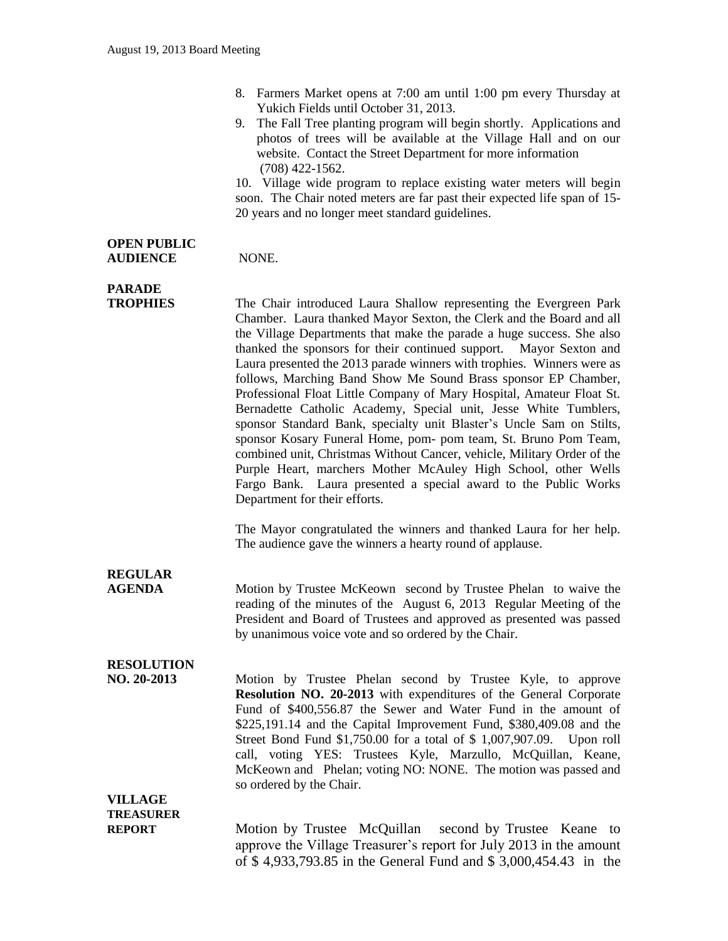- 8. Farmers Market opens at 7:00 am until 1:00 pm every Thursday at Yukich Fields until October 31, 2013.
- 9. The Fall Tree planting program will begin shortly. Applications and photos of trees will be available at the Village Hall and on our website. Contact the Street Department for more information (708) 422-1562.

10. Village wide program to replace existing water meters will begin soon. The Chair noted meters are far past their expected life span of 15- 20 years and no longer meet standard guidelines.

#### **OPEN PUBLIC AUDIENCE** NONE.

## **PARADE**

**TROPHIES** The Chair introduced Laura Shallow representing the Evergreen Park Chamber. Laura thanked Mayor Sexton, the Clerk and the Board and all the Village Departments that make the parade a huge success. She also thanked the sponsors for their continued support. Mayor Sexton and Laura presented the 2013 parade winners with trophies. Winners were as follows, Marching Band Show Me Sound Brass sponsor EP Chamber, Professional Float Little Company of Mary Hospital, Amateur Float St. Bernadette Catholic Academy, Special unit, Jesse White Tumblers, sponsor Standard Bank, specialty unit Blaster's Uncle Sam on Stilts, sponsor Kosary Funeral Home, pom- pom team, St. Bruno Pom Team, combined unit, Christmas Without Cancer, vehicle, Military Order of the Purple Heart, marchers Mother McAuley High School, other Wells Fargo Bank. Laura presented a special award to the Public Works Department for their efforts.

> The Mayor congratulated the winners and thanked Laura for her help. The audience gave the winners a hearty round of applause.

# **REGULAR**

**AGENDA** Motion by Trustee McKeown second by Trustee Phelan to waive the reading of the minutes of the August 6, 2013 Regular Meeting of the President and Board of Trustees and approved as presented was passed by unanimous voice vote and so ordered by the Chair.

### **RESOLUTION**

**NO. 20-2013** Motion by Trustee Phelan second by Trustee Kyle, to approve **Resolution NO. 20-2013** with expenditures of the General Corporate Fund of \$400,556.87 the Sewer and Water Fund in the amount of \$225,191.14 and the Capital Improvement Fund, \$380,409.08 and the Street Bond Fund \$1,750.00 for a total of \$ 1,007,907.09. Upon roll call, voting YES: Trustees Kyle, Marzullo, McQuillan, Keane, McKeown and Phelan; voting NO: NONE. The motion was passed and so ordered by the Chair.

### **VILLAGE TREASURER**

**REPORT** Motion by Trustee McQuillan second by Trustee Keane to approve the Village Treasurer's report for July 2013 in the amount of \$ 4,933,793.85 in the General Fund and \$ 3,000,454.43 in the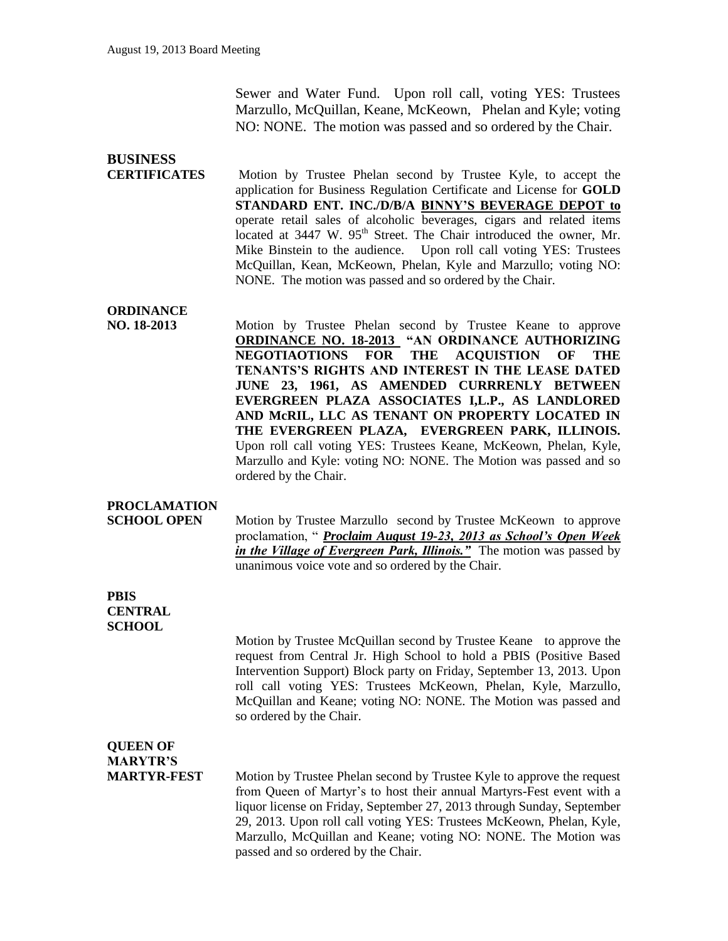Sewer and Water Fund. Upon roll call, voting YES: Trustees Marzullo, McQuillan, Keane, McKeown, Phelan and Kyle; voting NO: NONE. The motion was passed and so ordered by the Chair.

# **BUSINESS**

**CERTIFICATES** Motion by Trustee Phelan second by Trustee Kyle, to accept the application for Business Regulation Certificate and License for **GOLD STANDARD ENT. INC./D/B/A BINNY'S BEVERAGE DEPOT to** operate retail sales of alcoholic beverages, cigars and related items located at 3447 W. 95<sup>th</sup> Street. The Chair introduced the owner, Mr. Mike Binstein to the audience. Upon roll call voting YES: Trustees McQuillan, Kean, McKeown, Phelan, Kyle and Marzullo; voting NO: NONE. The motion was passed and so ordered by the Chair.

#### **ORDINANCE**

**NO. 18-2013** Motion by Trustee Phelan second by Trustee Keane to approve **ORDINANCE NO. 18-2013 "AN ORDINANCE AUTHORIZING NEGOTIAOTIONS FOR THE ACQUISTION OF THE TENANTS'S RIGHTS AND INTEREST IN THE LEASE DATED JUNE 23, 1961, AS AMENDED CURRRENLY BETWEEN EVERGREEN PLAZA ASSOCIATES I,L.P., AS LANDLORED AND McRIL, LLC AS TENANT ON PROPERTY LOCATED IN THE EVERGREEN PLAZA, EVERGREEN PARK, ILLINOIS.**  Upon roll call voting YES: Trustees Keane, McKeown, Phelan, Kyle, Marzullo and Kyle: voting NO: NONE. The Motion was passed and so ordered by the Chair.

#### **PROCLAMATION**

**SCHOOL OPEN** Motion by Trustee Marzullo second by Trustee McKeown to approve proclamation, " *Proclaim August 19-23, 2013 as School's Open Week in the Village of Evergreen Park, Illinois."* The motion was passed by unanimous voice vote and so ordered by the Chair.

#### **PBIS CENTRAL SCHOOL**

Motion by Trustee McQuillan second by Trustee Keane to approve the request from Central Jr. High School to hold a PBIS (Positive Based Intervention Support) Block party on Friday, September 13, 2013. Upon roll call voting YES: Trustees McKeown, Phelan, Kyle, Marzullo, McQuillan and Keane; voting NO: NONE. The Motion was passed and so ordered by the Chair.

### **QUEEN OF MARYTR'S**

**MARTYR-FEST** Motion by Trustee Phelan second by Trustee Kyle to approve the request from Queen of Martyr's to host their annual Martyrs-Fest event with a liquor license on Friday, September 27, 2013 through Sunday, September 29, 2013. Upon roll call voting YES: Trustees McKeown, Phelan, Kyle, Marzullo, McQuillan and Keane; voting NO: NONE. The Motion was passed and so ordered by the Chair.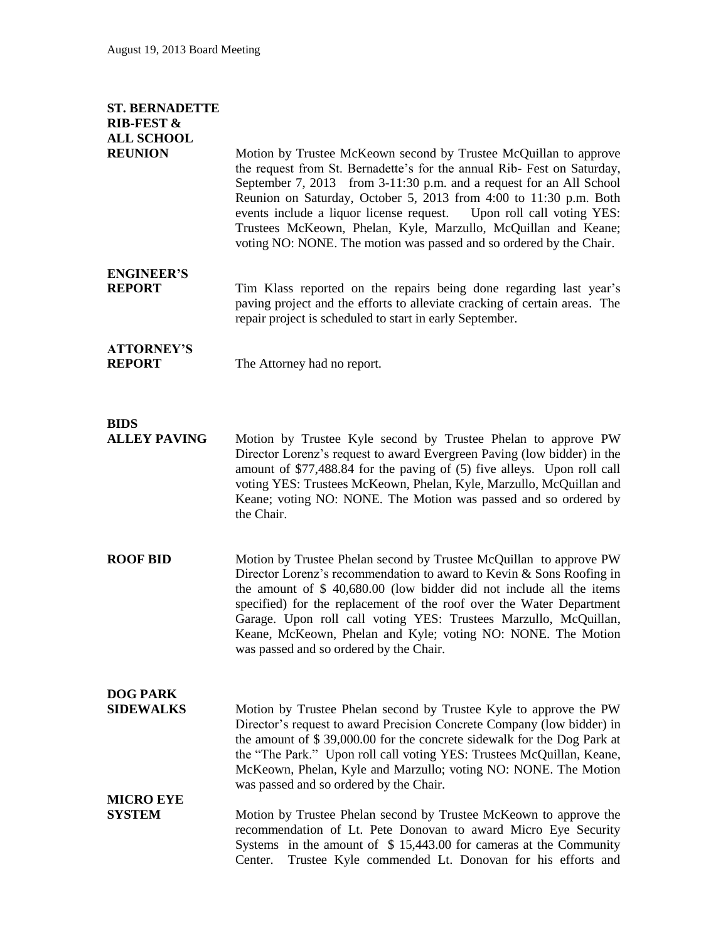### **ST. BERNADETTE RIB-FEST & ALL SCHOOL**

**REUNION** Motion by Trustee McKeown second by Trustee McQuillan to approve the request from St. Bernadette's for the annual Rib- Fest on Saturday, September 7, 2013 from 3-11:30 p.m. and a request for an All School Reunion on Saturday, October 5, 2013 from 4:00 to 11:30 p.m. Both events include a liquor license request. Upon roll call voting YES: Trustees McKeown, Phelan, Kyle, Marzullo, McQuillan and Keane; voting NO: NONE. The motion was passed and so ordered by the Chair.

## **ENGINEER'S**

**REPORT** Tim Klass reported on the repairs being done regarding last year's paving project and the efforts to alleviate cracking of certain areas. The repair project is scheduled to start in early September.

# **ATTORNEY'S**

**REPORT** The Attorney had no report.

### **BIDS**

**ALLEY PAVING** Motion by Trustee Kyle second by Trustee Phelan to approve PW Director Lorenz's request to award Evergreen Paving (low bidder) in the amount of \$77,488.84 for the paving of (5) five alleys. Upon roll call voting YES: Trustees McKeown, Phelan, Kyle, Marzullo, McQuillan and Keane; voting NO: NONE. The Motion was passed and so ordered by the Chair.

**ROOF BID** Motion by Trustee Phelan second by Trustee McQuillan to approve PW Director Lorenz's recommendation to award to Kevin & Sons Roofing in the amount of \$ 40,680.00 (low bidder did not include all the items specified) for the replacement of the roof over the Water Department Garage. Upon roll call voting YES: Trustees Marzullo, McQuillan, Keane, McKeown, Phelan and Kyle; voting NO: NONE. The Motion was passed and so ordered by the Chair.

## **DOG PARK**

**SIDEWALKS** Motion by Trustee Phelan second by Trustee Kyle to approve the PW Director's request to award Precision Concrete Company (low bidder) in the amount of \$ 39,000.00 for the concrete sidewalk for the Dog Park at the "The Park." Upon roll call voting YES: Trustees McQuillan, Keane, McKeown, Phelan, Kyle and Marzullo; voting NO: NONE. The Motion was passed and so ordered by the Chair.

## **MICRO EYE**

**SYSTEM** Motion by Trustee Phelan second by Trustee McKeown to approve the recommendation of Lt. Pete Donovan to award Micro Eye Security Systems in the amount of \$ 15,443.00 for cameras at the Community Center. Trustee Kyle commended Lt. Donovan for his efforts and